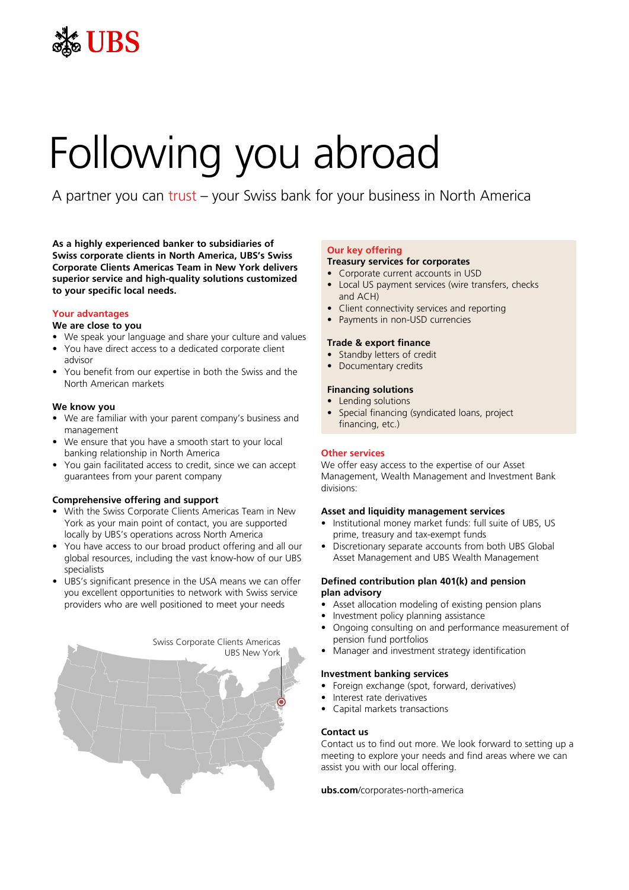

# Following you abroad

A partner you can trust – your Swiss bank for your business in North America

**As a highly experienced banker to subsidiaries of Swiss corporate clients in North America, UBS's Swiss Corporate Clients Americas Team in New York delivers superior service and high-quality solutions customized to your specific local needs.**

# **Your advantages**

# **We are close to you**

- We speak your language and share your culture and values
- You have direct access to a dedicated corporate client advisor
- You benefit from our expertise in both the Swiss and the North American markets

# **We know you**

- We are familiar with your parent company's business and management
- We ensure that you have a smooth start to your local banking relationship in North America
- You gain facilitated access to credit, since we can accept guarantees from your parent company

# **Comprehensive offering and support**

- With the Swiss Corporate Clients Americas Team in New York as your main point of contact, you are supported locally by UBS's operations across North America
- You have access to our broad product offering and all our global resources, including the vast know-how of our UBS specialists
- UBS's significant presence in the USA means we can offer you excellent opportunities to network with Swiss service providers who are well positioned to meet your needs



### **Our key offering Treasury services for corporates**

- Corporate current accounts in USD
- Local US payment services (wire transfers, checks and ACH)
- Client connectivity services and reporting
- Payments in non-USD currencies

# **Trade & export finance**

- Standby letters of credit
- Documentary credits

# **Financing solutions**

- Lending solutions
- Special financing (syndicated loans, project financing, etc.)

# **Other services**

We offer easy access to the expertise of our Asset Management, Wealth Management and Investment Bank divisions:

# **Asset and liquidity management services**

- Institutional money market funds: full suite of UBS, US prime, treasury and tax-exempt funds
- Discretionary separate accounts from both UBS Global Asset Management and UBS Wealth Management

# **Defined contribution plan 401(k) and pension plan advisory**

- Asset allocation modeling of existing pension plans
- Investment policy planning assistance
- Ongoing consulting on and performance measurement of pension fund portfolios
- Manager and investment strategy identification

# **Investment banking services**

- Foreign exchange (spot, forward, derivatives)
- Interest rate derivatives
- Capital markets transactions

# **Contact us**

Contact us to find out more. We look forward to setting up a meeting to explore your needs and find areas where we can assist you with our local offering.

**ubs.com**/corporates-north-america